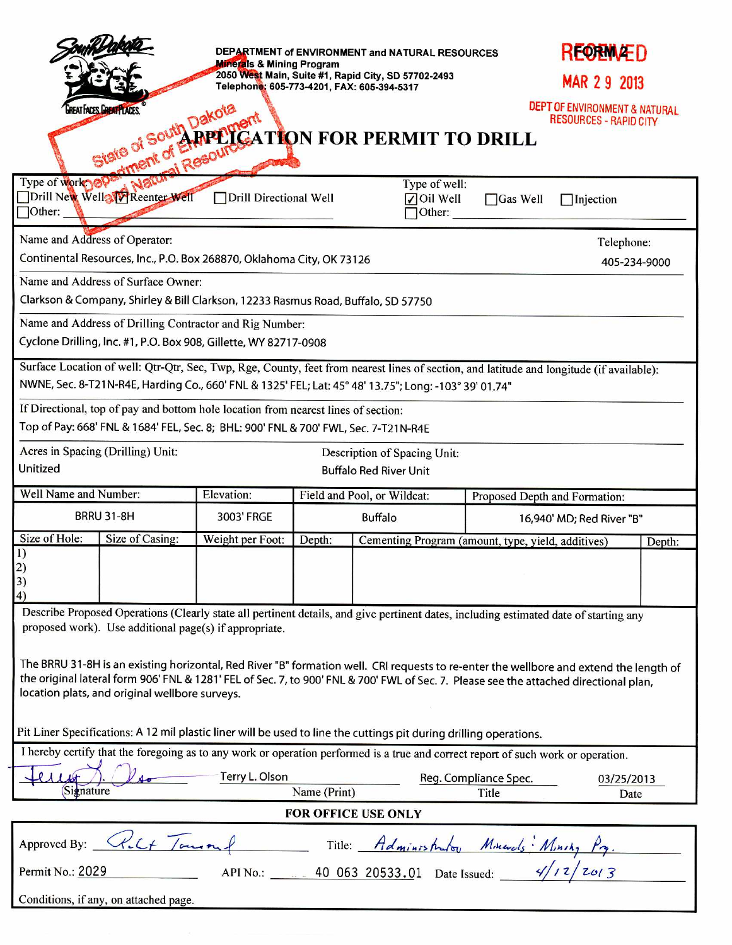|                                                                                                                                                                                                                                                                                                                                   |                       | DEPARTMENT of ENVIRONMENT and NATURAL RESOURCES<br><b>Minerals &amp; Mining Program</b><br>2050 West Main, Suite #1, Rapid City, SD 57702-2493 |                             |  |                                              |                                                    |                                                                |        |  |
|-----------------------------------------------------------------------------------------------------------------------------------------------------------------------------------------------------------------------------------------------------------------------------------------------------------------------------------|-----------------------|------------------------------------------------------------------------------------------------------------------------------------------------|-----------------------------|--|----------------------------------------------|----------------------------------------------------|----------------------------------------------------------------|--------|--|
| Telephone: 605-773-4201, FAX: 605-394-5317                                                                                                                                                                                                                                                                                        |                       |                                                                                                                                                |                             |  |                                              |                                                    | MAR 2 9 2013                                                   |        |  |
| REAT ACES <b>LABAT LACES</b>                                                                                                                                                                                                                                                                                                      |                       |                                                                                                                                                |                             |  |                                              |                                                    | DEPT OF ENVIRONMENT & NATURAL<br><b>RESOURCES - RAPID CITY</b> |        |  |
|                                                                                                                                                                                                                                                                                                                                   |                       |                                                                                                                                                |                             |  |                                              |                                                    |                                                                |        |  |
| State of South Dakota<br>of Sout ARPEICATION FOR PERMIT TO DRILL<br><b>Fal Resourc</b>                                                                                                                                                                                                                                            |                       |                                                                                                                                                |                             |  |                                              |                                                    |                                                                |        |  |
| $\Box$ Other:                                                                                                                                                                                                                                                                                                                     | Type of work of Watch | Drill Directional Well                                                                                                                         |                             |  | Type of well:<br>$\nabla$ Oil Well<br>Other: | $\Box$ Gas Well                                    | Injection                                                      |        |  |
| Name and Address of Operator:                                                                                                                                                                                                                                                                                                     |                       |                                                                                                                                                |                             |  |                                              |                                                    | Telephone:                                                     |        |  |
| Continental Resources, Inc., P.O. Box 268870, Oklahoma City, OK 73126                                                                                                                                                                                                                                                             |                       |                                                                                                                                                |                             |  |                                              | 405-234-9000                                       |                                                                |        |  |
| Name and Address of Surface Owner:                                                                                                                                                                                                                                                                                                |                       |                                                                                                                                                |                             |  |                                              |                                                    |                                                                |        |  |
| Clarkson & Company, Shirley & Bill Clarkson, 12233 Rasmus Road, Buffalo, SD 57750                                                                                                                                                                                                                                                 |                       |                                                                                                                                                |                             |  |                                              |                                                    |                                                                |        |  |
| Name and Address of Drilling Contractor and Rig Number:<br>Cyclone Drilling, Inc. #1, P.O. Box 908, Gillette, WY 82717-0908                                                                                                                                                                                                       |                       |                                                                                                                                                |                             |  |                                              |                                                    |                                                                |        |  |
| Surface Location of well: Qtr-Qtr, Sec, Twp, Rge, County, feet from nearest lines of section, and latitude and longitude (if available):<br>NWNE, Sec. 8-T21N-R4E, Harding Co., 660' FNL & 1325' FEL; Lat: 45° 48' 13.75"; Long: -103° 39' 01.74"                                                                                 |                       |                                                                                                                                                |                             |  |                                              |                                                    |                                                                |        |  |
| If Directional, top of pay and bottom hole location from nearest lines of section:                                                                                                                                                                                                                                                |                       |                                                                                                                                                |                             |  |                                              |                                                    |                                                                |        |  |
| Top of Pay: 668' FNL & 1684' FEL, Sec. 8; BHL: 900' FNL & 700' FWL, Sec. 7-T21N-R4E                                                                                                                                                                                                                                               |                       |                                                                                                                                                |                             |  |                                              |                                                    |                                                                |        |  |
| Acres in Spacing (Drilling) Unit:<br>Description of Spacing Unit:                                                                                                                                                                                                                                                                 |                       |                                                                                                                                                |                             |  |                                              |                                                    |                                                                |        |  |
| Unitized<br><b>Buffalo Red River Unit</b>                                                                                                                                                                                                                                                                                         |                       |                                                                                                                                                |                             |  |                                              |                                                    |                                                                |        |  |
| Well Name and Number:                                                                                                                                                                                                                                                                                                             |                       | Elevation:                                                                                                                                     | Field and Pool, or Wildcat: |  |                                              | Proposed Depth and Formation:                      |                                                                |        |  |
| <b>BRRU 31-8H</b>                                                                                                                                                                                                                                                                                                                 |                       | 3003' FRGE                                                                                                                                     | <b>Buffalo</b>              |  |                                              | 16,940' MD; Red River "B"                          |                                                                |        |  |
| Size of Hole:<br>1)                                                                                                                                                                                                                                                                                                               | Size of Casing:       | Weight per Foot:                                                                                                                               | Depth:                      |  |                                              | Cementing Program (amount, type, yield, additives) |                                                                | Depth: |  |
| $\binom{2}{3}$<br>4)                                                                                                                                                                                                                                                                                                              |                       |                                                                                                                                                |                             |  |                                              |                                                    |                                                                |        |  |
| Describe Proposed Operations (Clearly state all pertinent details, and give pertinent dates, including estimated date of starting any<br>proposed work). Use additional page(s) if appropriate.                                                                                                                                   |                       |                                                                                                                                                |                             |  |                                              |                                                    |                                                                |        |  |
| The BRRU 31-8H is an existing horizontal, Red River "B" formation well. CRI requests to re-enter the wellbore and extend the length of<br>the original lateral form 906' FNL & 1281' FEL of Sec. 7, to 900' FNL & 700' FWL of Sec. 7. Please see the attached directional plan,<br>location plats, and original wellbore surveys. |                       |                                                                                                                                                |                             |  |                                              |                                                    |                                                                |        |  |
| Pit Liner Specifications: A 12 mil plastic liner will be used to line the cuttings pit during drilling operations.                                                                                                                                                                                                                |                       |                                                                                                                                                |                             |  |                                              |                                                    |                                                                |        |  |
| I hereby certify that the foregoing as to any work or operation performed is a true and correct report of such work or operation.                                                                                                                                                                                                 |                       |                                                                                                                                                |                             |  |                                              |                                                    |                                                                |        |  |
| Terry L. Olson<br>Reg. Compliance Spec.<br>03/25/2013<br>Signature<br>Name (Print)<br>Title<br>Date                                                                                                                                                                                                                               |                       |                                                                                                                                                |                             |  |                                              |                                                    |                                                                |        |  |
| <b>FOR OFFICE USE ONLY</b>                                                                                                                                                                                                                                                                                                        |                       |                                                                                                                                                |                             |  |                                              |                                                    |                                                                |        |  |
| Kilt Tourn<br>Approved By:<br>$\overline{f}$ Title: Administrator Minerals: Minity Pq.<br>APINO.: 10 063 20533.01 Date Issued: 4/12/2013                                                                                                                                                                                          |                       |                                                                                                                                                |                             |  |                                              |                                                    |                                                                |        |  |
|                                                                                                                                                                                                                                                                                                                                   | Permit No.: 2029      |                                                                                                                                                |                             |  |                                              |                                                    |                                                                |        |  |
| Conditions, if any, on attached page.                                                                                                                                                                                                                                                                                             |                       |                                                                                                                                                |                             |  |                                              |                                                    |                                                                |        |  |